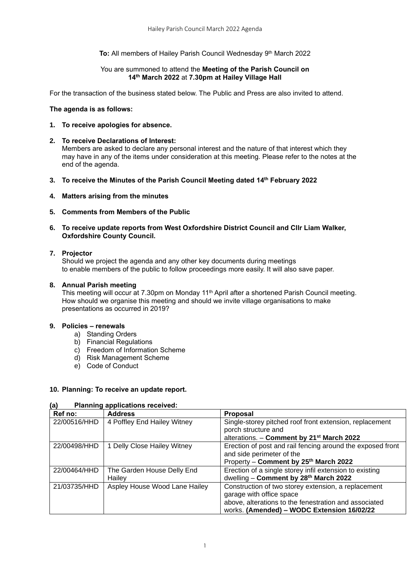## **To:** All members of Hailey Parish Council Wednesday 9<sup>th</sup> March 2022

### You are summoned to attend the **Meeting of the Parish Council on 14th March 2022** at **7.30pm at Hailey Village Hall**

For the transaction of the business stated below. The Public and Press are also invited to attend.

### **The agenda is as follows:**

- **1. To receive apologies for absence.**
- **2. To receive Declarations of Interest:**  Members are asked to declare any personal interest and the nature of that interest which they may have in any of the items under consideration at this meeting. Please refer to the notes at the end of the agenda.
- **3. To receive the Minutes of the Parish Council Meeting dated 14 th February 2022**
- **4. Matters arising from the minutes**
- **5. Comments from Members of the Public**
- **6. To receive update reports from West Oxfordshire District Council and Cllr Liam Walker, Oxfordshire County Council.**

## **7. Projector**

Should we project the agenda and any other key documents during meetings to enable members of the public to follow proceedings more easily. It will also save paper.

## **8. Annual Parish meeting**

This meeting will occur at 7.30pm on Monday 11<sup>th</sup> April after a shortened Parish Council meeting. How should we organise this meeting and should we invite village organisations to make presentations as occurred in 2019?

## **9. Policies – renewals**

- a) Standing Orders
- b) Financial Regulations
- c) Freedom of Information Scheme
- d) Risk Management Scheme
- e) Code of Conduct

# **10. Planning: To receive an update report.**

### **(a) Planning applications received:**

| Ref no:      | <b>Address</b>                | <b>Proposal</b>                                            |
|--------------|-------------------------------|------------------------------------------------------------|
| 22/00516/HHD | 4 Poffley End Hailey Witney   | Single-storey pitched roof front extension, replacement    |
|              |                               | porch structure and                                        |
|              |                               | alterations. - Comment by 21 <sup>st</sup> March 2022      |
| 22/00498/HHD | 1 Delly Close Hailey Witney   | Erection of post and rail fencing around the exposed front |
|              |                               | and side perimeter of the                                  |
|              |                               | Property - Comment by 25th March 2022                      |
| 22/00464/HHD | The Garden House Delly End    | Erection of a single storey infil extension to existing    |
|              | Hailev                        | dwelling - Comment by 28th March 2022                      |
| 21/03735/HHD | Aspley House Wood Lane Hailey | Construction of two storey extension, a replacement        |
|              |                               | garage with office space                                   |
|              |                               | above, alterations to the fenestration and associated      |
|              |                               | works. (Amended) - WODC Extension 16/02/22                 |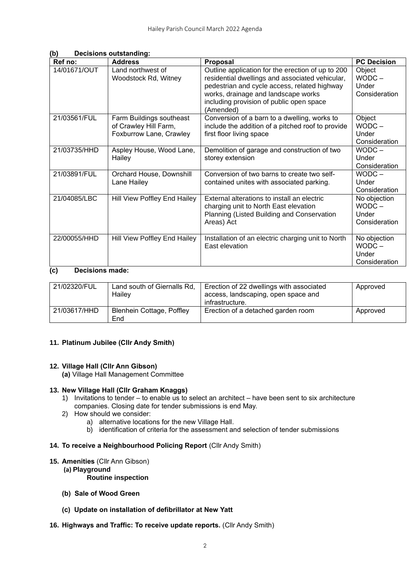| Ref no:                   | <b>Address</b>                            | Proposal                                                                                             | <b>PC Decision</b> |
|---------------------------|-------------------------------------------|------------------------------------------------------------------------------------------------------|--------------------|
| 14/01671/OUT              | Land northwest of<br>Woodstock Rd, Witney | Outline application for the erection of up to 200<br>residential dwellings and associated vehicular, | Object<br>$WODC -$ |
|                           |                                           | pedestrian and cycle access, related highway                                                         | Under              |
|                           |                                           | works, drainage and landscape works                                                                  | Consideration      |
|                           |                                           | including provision of public open space<br>(Amended)                                                |                    |
| 21/03561/FUL              | Farm Buildings southeast                  | Conversion of a barn to a dwelling, works to                                                         | Object             |
|                           | of Crawley Hill Farm,                     | include the addition of a pitched roof to provide                                                    | $WODC -$           |
|                           | Foxburrow Lane, Crawley                   | first floor living space                                                                             | Under              |
|                           |                                           |                                                                                                      | Consideration      |
| 21/03735/HHD              | Aspley House, Wood Lane,                  | Demolition of garage and construction of two                                                         | $WODC -$           |
|                           | Hailey                                    | storey extension                                                                                     | Under              |
|                           |                                           |                                                                                                      | Consideration      |
| 21/03891/FUL              | Orchard House, Downshill                  | Conversion of two barns to create two self-                                                          | $WODC -$           |
|                           | Lane Hailey                               | contained unites with associated parking.                                                            | Under              |
|                           |                                           |                                                                                                      | Consideration      |
| 21/04085/LBC              | Hill View Poffley End Hailey              | External alterations to install an electric                                                          | No objection       |
|                           |                                           | charging unit to North East elevation                                                                | $WODC -$           |
|                           |                                           | Planning (Listed Building and Conservation                                                           | Under              |
|                           |                                           | Areas) Act                                                                                           | Consideration      |
|                           |                                           |                                                                                                      |                    |
| 22/00055/HHD              | Hill View Poffley End Hailey              | Installation of an electric charging unit to North                                                   | No objection       |
|                           |                                           | East elevation                                                                                       | $WODC -$           |
|                           |                                           |                                                                                                      | Under              |
|                           |                                           |                                                                                                      | Consideration      |
| $\sim$<br>Decisions mode: |                                           |                                                                                                      |                    |

### **(b) Decisions outstanding:**

# **(c) Decisions made:**

| 21/02320/FUL | Land south of Giernalls Rd,<br>Hailey | Erection of 22 dwellings with associated<br>access, landscaping, open space and<br>infrastructure. | Approved |
|--------------|---------------------------------------|----------------------------------------------------------------------------------------------------|----------|
| 21/03617/HHD | Blenhein Cottage, Poffley<br>End      | Erection of a detached garden room                                                                 | Approved |

## **11. Platinum Jubilee (Cllr Andy Smith)**

### **12. Village Hall (Cllr Ann Gibson)**

**(a)** Village Hall Management Committee

### **13. New Village Hall (Cllr Graham Knaggs)**

- 1) Invitations to tender to enable us to select an architect have been sent to six architecture companies. Closing date for tender submissions is end May.
- 2) How should we consider:
	- a) alternative locations for the new Village Hall.
	- b) identification of criteria for the assessment and selection of tender submissions

### **14. To receive a Neighbourhood Policing Report** (Cllr Andy Smith)

### **15. Amenities** (Cllr Ann Gibson)

**(a) Playground**

# **Routine inspection**

- **(b) Sale of Wood Green**
- **(c) Update on installation of defibrillator at New Yatt**

### **16. Highways and Traffic: To receive update reports.** (Cllr Andy Smith)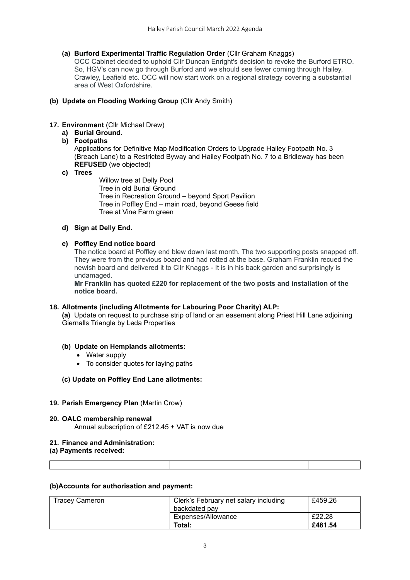**(a) Burford Experimental Traffic Regulation Order** (Cllr Graham Knaggs)

OCC Cabinet decided to uphold Cllr Duncan Enright's decision to revoke the Burford ETRO. So, HGV's can now go through Burford and we should see fewer coming through Hailey, Crawley, Leafield etc. OCC will now start work on a regional strategy covering a substantial area of West Oxfordshire.

**(b) Update on Flooding Working Group** (Cllr Andy Smith)

## **17. Environment** (Cllr Michael Drew)

**a) Burial Ground.** 

## **b) Footpaths**

Applications for Definitive Map Modification Orders to Upgrade Hailey Footpath No. 3 (Breach Lane) to a Restricted Byway and Hailey Footpath No. 7 to a Bridleway has been **REFUSED** (we objected)

## **c) Trees**

Willow tree at Delly Pool Tree in old Burial Ground Tree in Recreation Ground – beyond Sport Pavilion Tree in Poffley End – main road, beyond Geese field Tree at Vine Farm green

## **d) Sign at Delly End.**

# **e) Poffley End notice board**

The notice board at Poffley end blew down last month. The two supporting posts snapped off. They were from the previous board and had rotted at the base. Graham Franklin recued the newish board and delivered it to Cllr Knaggs - It is in his back garden and surprisingly is undamaged.

**Mr Franklin has quoted £220 for replacement of the two posts and installation of the notice board.**

## **18. Allotments (including Allotments for Labouring Poor Charity) ALP:**

**(a)** Update on request to purchase strip of land or an easement along Priest Hill Lane adjoining Giernalls Triangle by Leda Properties

## **(b) Update on Hemplands allotments:**

- Water supply
- To consider quotes for laying paths

## **(c) Update on Poffley End Lane allotments:**

## **19. Parish Emergency Plan** (Martin Crow)

**20. OALC membership renewal** Annual subscription of  $£212.45 +$  VAT is now due

### **21. Finance and Administration:**

**(a) Payments received:**

### **(b)Accounts for authorisation and payment:**

| <b>Tracey Cameron</b> | Clerk's February net salary including | £459.26 |
|-----------------------|---------------------------------------|---------|
|                       | backdated pav                         |         |
|                       | Expenses/Allowance                    | £22.28  |
|                       | Total:                                | £481.54 |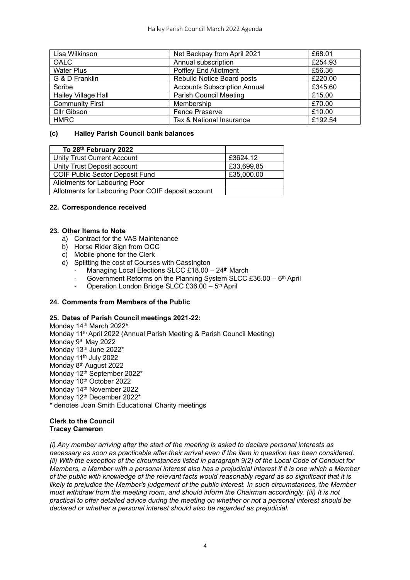| Lisa Wilkinson             | Net Backpay from April 2021         | £68.01  |
|----------------------------|-------------------------------------|---------|
| OALC                       | Annual subscription                 | £254.93 |
| <b>Water Plus</b>          | <b>Poffley End Allotment</b>        | £56.36  |
| G & D Franklin             | Rebuild Notice Board posts          | £220.00 |
| Scribe                     | <b>Accounts Subscription Annual</b> | £345.60 |
| <b>Hailey Village Hall</b> | <b>Parish Council Meeting</b>       | £15.00  |
| <b>Community First</b>     | Membership                          | £70.00  |
| Cllr Gibson                | <b>Fence Preserve</b>               | £10.00  |
| <b>HMRC</b>                | Tax & National Insurance            | £192.54 |

### **(c) Hailey Parish Council bank balances**

| To 28 <sup>th</sup> February 2022                  |            |
|----------------------------------------------------|------------|
| Unity Trust Current Account                        | £3624.12   |
| Unity Trust Deposit account                        | £33,699.85 |
| <b>COIF Public Sector Deposit Fund</b>             | £35,000.00 |
| Allotments for Labouring Poor                      |            |
| Allotments for Labouring Poor COIF deposit account |            |

## **22. Correspondence received**

### **23. Other Items to Note**

- a) Contract for the VAS Maintenance
- b) Horse Rider Sign from OCC
- c) Mobile phone for the Clerk
- d) Splitting the cost of Courses with Cassington
	- Managing Local Elections SLCC £18.00 24<sup>th</sup> March
	- Government Reforms on the Planning System SLCC £36.00 6<sup>th</sup> April
	- Operation London Bridge SLCC £36.00 5<sup>th</sup> April

## **24. Comments from Members of the Public**

### **25. Dates of Parish Council meetings 2021-22:**

Monday 14th March 2022**\*** Monday 11th April 2022 (Annual Parish Meeting & Parish Council Meeting) Monday 9<sup>th</sup> May 2022 Monday 13<sup>th</sup> June 2022<sup>\*</sup> Monday 11<sup>th</sup> July 2022 Monday 8th August 2022 Monday 12<sup>th</sup> September 2022<sup>\*</sup> Monday 10<sup>th</sup> October 2022 Monday 14th November 2022 Monday 12<sup>th</sup> December 2022<sup>\*</sup> \* denotes Joan Smith Educational Charity meetings

### **Clerk to the Council Tracey Cameron**

*(i) Any member arriving after the start of the meeting is asked to declare personal interests as necessary as soon as practicable after their arrival even if the item in question has been considered. (ii) With the exception of the circumstances listed in paragraph 9(2) of the Local Code of Conduct for Members, a Member with a personal interest also has a prejudicial interest if it is one which a Member of the public with knowledge of the relevant facts would reasonably regard as so significant that it is likely to prejudice the Member's judgement of the public interest. In such circumstances, the Member must withdraw from the meeting room, and should inform the Chairman accordingly. (iii) It is not practical to offer detailed advice during the meeting on whether or not a personal interest should be declared or whether a personal interest should also be regarded as prejudicial.*